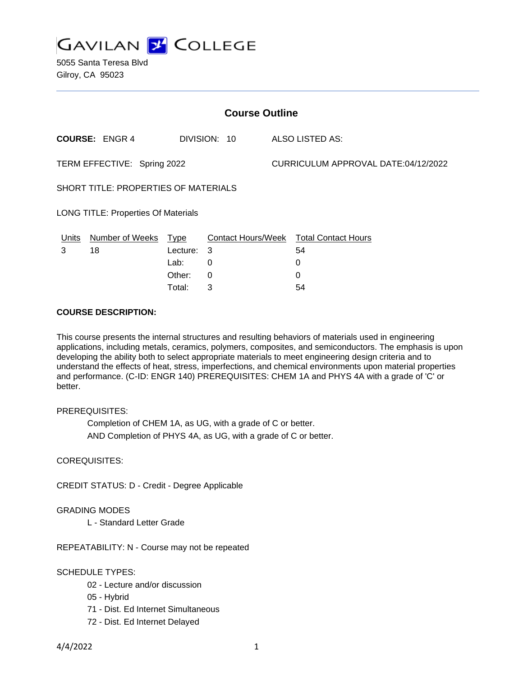

5055 Santa Teresa Blvd Gilroy, CA 95023

| <b>Course Outline</b>                      |                                       |          |                 |                                     |                                        |
|--------------------------------------------|---------------------------------------|----------|-----------------|-------------------------------------|----------------------------------------|
|                                            | <b>COURSE: ENGR 4</b><br>DIVISION: 10 |          | ALSO LISTED AS: |                                     |                                        |
| TERM EFFECTIVE: Spring 2022                |                                       |          |                 | CURRICULUM APPROVAL DATE:04/12/2022 |                                        |
| SHORT TITLE: PROPERTIES OF MATERIALS       |                                       |          |                 |                                     |                                        |
| <b>LONG TITLE: Properties Of Materials</b> |                                       |          |                 |                                     |                                        |
| Units                                      | Number of Weeks Type                  |          |                 |                                     | Contact Hours/Week Total Contact Hours |
| 3                                          | 18                                    | Lecture: | 3               |                                     | 54                                     |
|                                            |                                       | Lab:     | 0               |                                     | 0                                      |
|                                            |                                       | Other:   | 0               |                                     | 0                                      |
|                                            |                                       | Total:   | 3               |                                     | 54                                     |

#### **COURSE DESCRIPTION:**

This course presents the internal structures and resulting behaviors of materials used in engineering applications, including metals, ceramics, polymers, composites, and semiconductors. The emphasis is upon developing the ability both to select appropriate materials to meet engineering design criteria and to understand the effects of heat, stress, imperfections, and chemical environments upon material properties and performance. (C-ID: ENGR 140) PREREQUISITES: CHEM 1A and PHYS 4A with a grade of 'C' or better.

### PREREQUISITES:

Completion of CHEM 1A, as UG, with a grade of C or better. AND Completion of PHYS 4A, as UG, with a grade of C or better.

### COREQUISITES:

CREDIT STATUS: D - Credit - Degree Applicable

### GRADING MODES

L - Standard Letter Grade

REPEATABILITY: N - Course may not be repeated

### SCHEDULE TYPES:

- 02 Lecture and/or discussion
- 05 Hybrid
- 71 Dist. Ed Internet Simultaneous
- 72 Dist. Ed Internet Delayed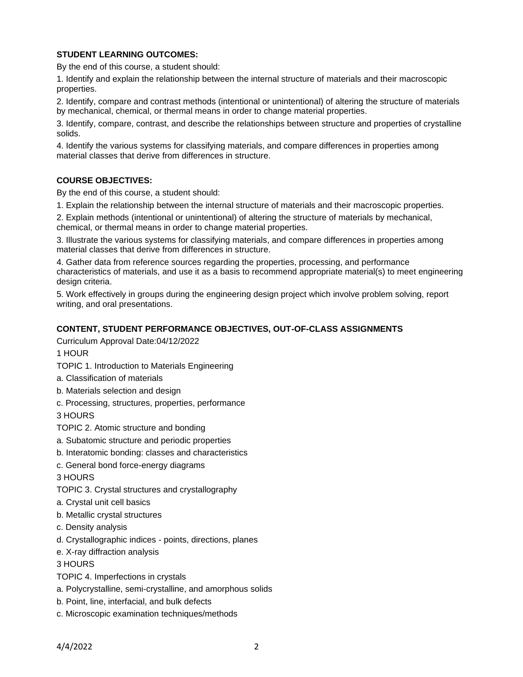## **STUDENT LEARNING OUTCOMES:**

By the end of this course, a student should:

1. Identify and explain the relationship between the internal structure of materials and their macroscopic properties.

2. Identify, compare and contrast methods (intentional or unintentional) of altering the structure of materials by mechanical, chemical, or thermal means in order to change material properties.

3. Identify, compare, contrast, and describe the relationships between structure and properties of crystalline solids.

4. Identify the various systems for classifying materials, and compare differences in properties among material classes that derive from differences in structure.

### **COURSE OBJECTIVES:**

By the end of this course, a student should:

1. Explain the relationship between the internal structure of materials and their macroscopic properties.

2. Explain methods (intentional or unintentional) of altering the structure of materials by mechanical, chemical, or thermal means in order to change material properties.

3. Illustrate the various systems for classifying materials, and compare differences in properties among material classes that derive from differences in structure.

4. Gather data from reference sources regarding the properties, processing, and performance characteristics of materials, and use it as a basis to recommend appropriate material(s) to meet engineering design criteria.

5. Work effectively in groups during the engineering design project which involve problem solving, report writing, and oral presentations.

### **CONTENT, STUDENT PERFORMANCE OBJECTIVES, OUT-OF-CLASS ASSIGNMENTS**

Curriculum Approval Date:04/12/2022

1 HOUR

- TOPIC 1. Introduction to Materials Engineering
- a. Classification of materials
- b. Materials selection and design
- c. Processing, structures, properties, performance

3 HOURS

- TOPIC 2. Atomic structure and bonding
- a. Subatomic structure and periodic properties
- b. Interatomic bonding: classes and characteristics
- c. General bond force-energy diagrams

3 HOURS

- TOPIC 3. Crystal structures and crystallography
- a. Crystal unit cell basics
- b. Metallic crystal structures
- c. Density analysis
- d. Crystallographic indices points, directions, planes
- e. X-ray diffraction analysis

3 HOURS

- TOPIC 4. Imperfections in crystals
- a. Polycrystalline, semi-crystalline, and amorphous solids
- b. Point, line, interfacial, and bulk defects
- c. Microscopic examination techniques/methods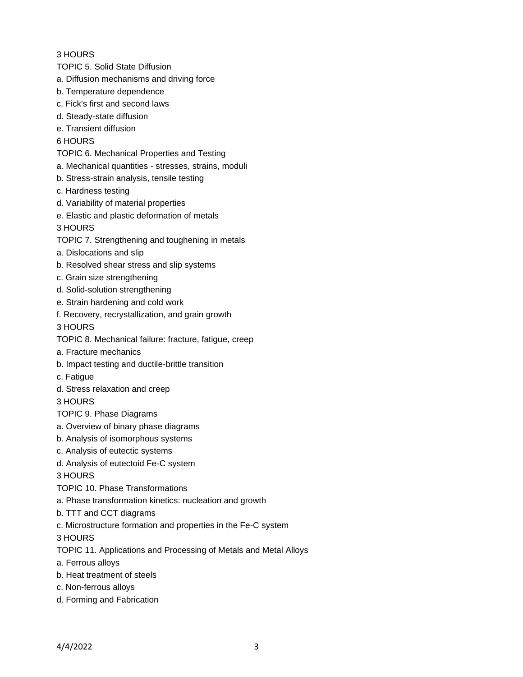### 3 HOURS

- TOPIC 5. Solid State Diffusion
- a. Diffusion mechanisms and driving force
- b. Temperature dependence
- c. Fick's first and second laws
- d. Steady-state diffusion
- e. Transient diffusion

## 6 HOURS

- TOPIC 6. Mechanical Properties and Testing
- a. Mechanical quantities stresses, strains, moduli
- b. Stress-strain analysis, tensile testing
- c. Hardness testing
- d. Variability of material properties
- e. Elastic and plastic deformation of metals

3 HOURS

TOPIC 7. Strengthening and toughening in metals

- a. Dislocations and slip
- b. Resolved shear stress and slip systems
- c. Grain size strengthening
- d. Solid-solution strengthening
- e. Strain hardening and cold work
- f. Recovery, recrystallization, and grain growth

3 HOURS

- TOPIC 8. Mechanical failure: fracture, fatigue, creep
- a. Fracture mechanics
- b. Impact testing and ductile-brittle transition
- c. Fatigue
- d. Stress relaxation and creep

3 HOURS

- TOPIC 9. Phase Diagrams
- a. Overview of binary phase diagrams
- b. Analysis of isomorphous systems
- c. Analysis of eutectic systems
- d. Analysis of eutectoid Fe-C system

3 HOURS

- TOPIC 10. Phase Transformations
- a. Phase transformation kinetics: nucleation and growth
- b. TTT and CCT diagrams
- c. Microstructure formation and properties in the Fe-C system

3 HOURS

TOPIC 11. Applications and Processing of Metals and Metal Alloys

- a. Ferrous alloys
- b. Heat treatment of steels
- c. Non-ferrous alloys
- d. Forming and Fabrication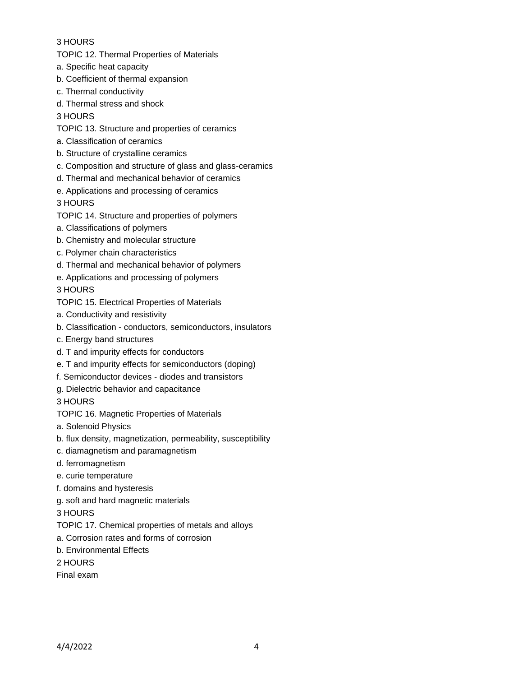# 3 HOURS

TOPIC 12. Thermal Properties of Materials

- a. Specific heat capacity
- b. Coefficient of thermal expansion
- c. Thermal conductivity
- d. Thermal stress and shock

3 HOURS

TOPIC 13. Structure and properties of ceramics

- a. Classification of ceramics
- b. Structure of crystalline ceramics
- c. Composition and structure of glass and glass-ceramics
- d. Thermal and mechanical behavior of ceramics
- e. Applications and processing of ceramics

3 HOURS

- TOPIC 14. Structure and properties of polymers
- a. Classifications of polymers
- b. Chemistry and molecular structure
- c. Polymer chain characteristics
- d. Thermal and mechanical behavior of polymers
- e. Applications and processing of polymers

3 HOURS

- TOPIC 15. Electrical Properties of Materials
- a. Conductivity and resistivity
- b. Classification conductors, semiconductors, insulators
- c. Energy band structures
- d. T and impurity effects for conductors
- e. T and impurity effects for semiconductors (doping)
- f. Semiconductor devices diodes and transistors
- g. Dielectric behavior and capacitance

3 HOURS

- TOPIC 16. Magnetic Properties of Materials
- a. Solenoid Physics
- b. flux density, magnetization, permeability, susceptibility
- c. diamagnetism and paramagnetism
- d. ferromagnetism
- e. curie temperature
- f. domains and hysteresis
- g. soft and hard magnetic materials

3 HOURS

- TOPIC 17. Chemical properties of metals and alloys
- a. Corrosion rates and forms of corrosion
- b. Environmental Effects
- 2 HOURS
- Final exam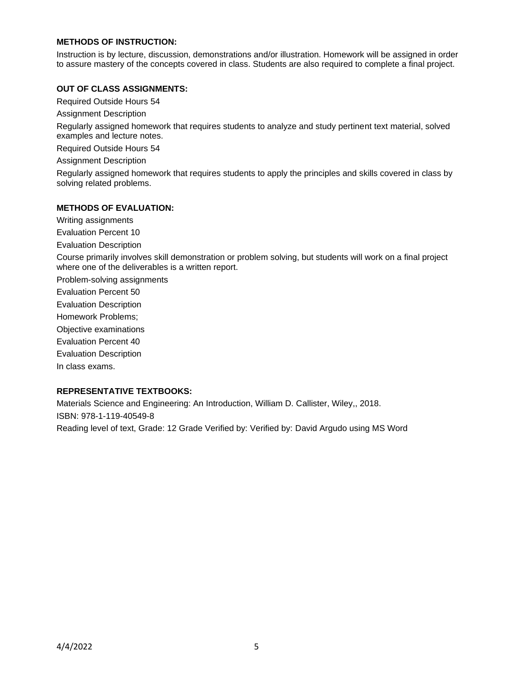### **METHODS OF INSTRUCTION:**

Instruction is by lecture, discussion, demonstrations and/or illustration. Homework will be assigned in order to assure mastery of the concepts covered in class. Students are also required to complete a final project.

#### **OUT OF CLASS ASSIGNMENTS:**

Required Outside Hours 54

Assignment Description

Regularly assigned homework that requires students to analyze and study pertinent text material, solved examples and lecture notes.

Required Outside Hours 54

Assignment Description

Regularly assigned homework that requires students to apply the principles and skills covered in class by solving related problems.

### **METHODS OF EVALUATION:**

Writing assignments Evaluation Percent 10

Evaluation Description

Course primarily involves skill demonstration or problem solving, but students will work on a final project where one of the deliverables is a written report.

Problem-solving assignments

Evaluation Percent 50

Evaluation Description

Homework Problems;

Objective examinations

Evaluation Percent 40

Evaluation Description

In class exams.

### **REPRESENTATIVE TEXTBOOKS:**

Materials Science and Engineering: An Introduction, William D. Callister, Wiley,, 2018. ISBN: 978-1-119-40549-8 Reading level of text, Grade: 12 Grade Verified by: Verified by: David Argudo using MS Word